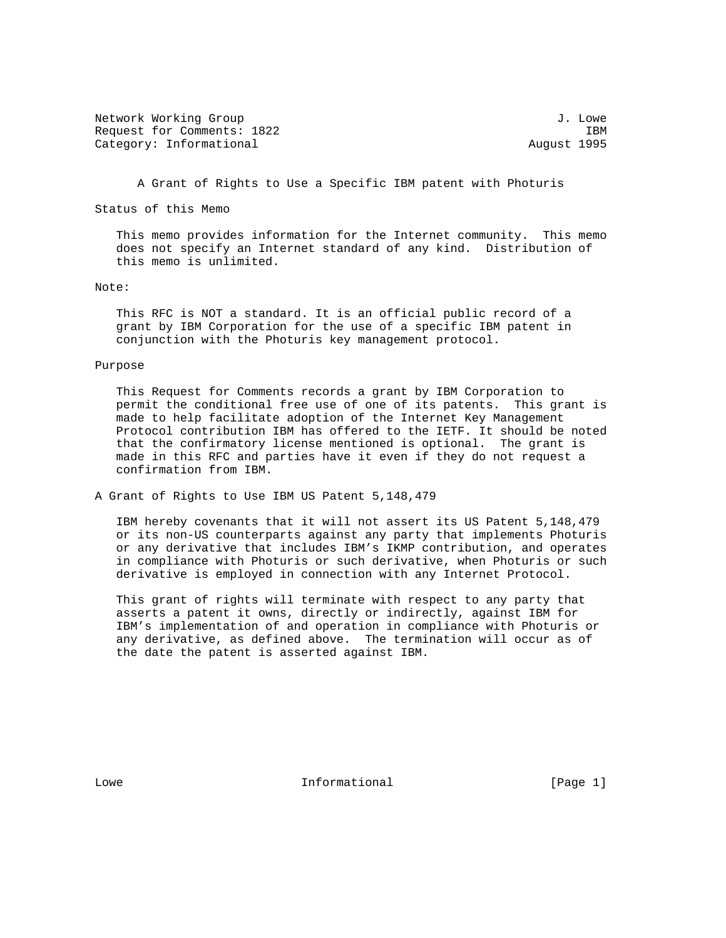| Network Working Group      |             | J. Lowe |
|----------------------------|-------------|---------|
| Request for Comments: 1822 |             | IBM     |
| Category: Informational    | August 1995 |         |

A Grant of Rights to Use a Specific IBM patent with Photuris

Status of this Memo

 This memo provides information for the Internet community. This memo does not specify an Internet standard of any kind. Distribution of this memo is unlimited.

## Note:

 This RFC is NOT a standard. It is an official public record of a grant by IBM Corporation for the use of a specific IBM patent in conjunction with the Photuris key management protocol.

## Purpose

 This Request for Comments records a grant by IBM Corporation to permit the conditional free use of one of its patents. This grant is made to help facilitate adoption of the Internet Key Management Protocol contribution IBM has offered to the IETF. It should be noted that the confirmatory license mentioned is optional. The grant is made in this RFC and parties have it even if they do not request a confirmation from IBM.

A Grant of Rights to Use IBM US Patent 5,148,479

 IBM hereby covenants that it will not assert its US Patent 5,148,479 or its non-US counterparts against any party that implements Photuris or any derivative that includes IBM's IKMP contribution, and operates in compliance with Photuris or such derivative, when Photuris or such derivative is employed in connection with any Internet Protocol.

 This grant of rights will terminate with respect to any party that asserts a patent it owns, directly or indirectly, against IBM for IBM's implementation of and operation in compliance with Photuris or any derivative, as defined above. The termination will occur as of the date the patent is asserted against IBM.

Lowe **Informational** [Page 1]